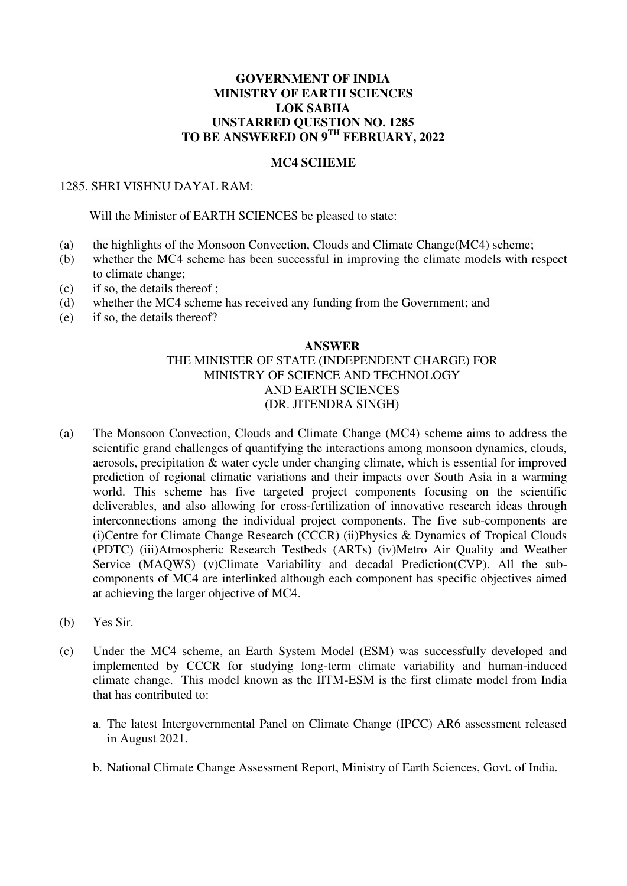## **GOVERNMENT OF INDIA MINISTRY OF EARTH SCIENCES LOK SABHA UNSTARRED QUESTION NO. 1285 TO BE ANSWERED ON 9TH FEBRUARY, 2022**

### **MC4 SCHEME**

### 1285. SHRI VISHNU DAYAL RAM:

### Will the Minister of EARTH SCIENCES be pleased to state:

- (a) the highlights of the Monsoon Convection, Clouds and Climate Change(MC4) scheme;
- (b) whether the MC4 scheme has been successful in improving the climate models with respect to climate change;
- (c) if so, the details thereof ;
- (d) whether the MC4 scheme has received any funding from the Government; and
- (e) if so, the details thereof?

#### **ANSWER**

# THE MINISTER OF STATE (INDEPENDENT CHARGE) FOR MINISTRY OF SCIENCE AND TECHNOLOGY AND EARTH SCIENCES (DR. JITENDRA SINGH)

- (a) The Monsoon Convection, Clouds and Climate Change (MC4) scheme aims to address the scientific grand challenges of quantifying the interactions among monsoon dynamics, clouds, aerosols, precipitation & water cycle under changing climate, which is essential for improved prediction of regional climatic variations and their impacts over South Asia in a warming world. This scheme has five targeted project components focusing on the scientific deliverables, and also allowing for cross-fertilization of innovative research ideas through interconnections among the individual project components. The five sub-components are (i)Centre for Climate Change Research (CCCR) (ii)Physics & Dynamics of Tropical Clouds (PDTC) (iii)Atmospheric Research Testbeds (ARTs) (iv)Metro Air Quality and Weather Service (MAQWS) (v)Climate Variability and decadal Prediction(CVP). All the subcomponents of MC4 are interlinked although each component has specific objectives aimed at achieving the larger objective of MC4.
- (b) Yes Sir.
- (c) Under the MC4 scheme, an Earth System Model (ESM) was successfully developed and implemented by CCCR for studying long-term climate variability and human-induced climate change. This model known as the IITM-ESM is the first climate model from India that has contributed to:
	- a. The latest Intergovernmental Panel on Climate Change (IPCC) AR6 assessment released in August 2021.
	- b. National Climate Change Assessment Report, Ministry of Earth Sciences, Govt. of India.